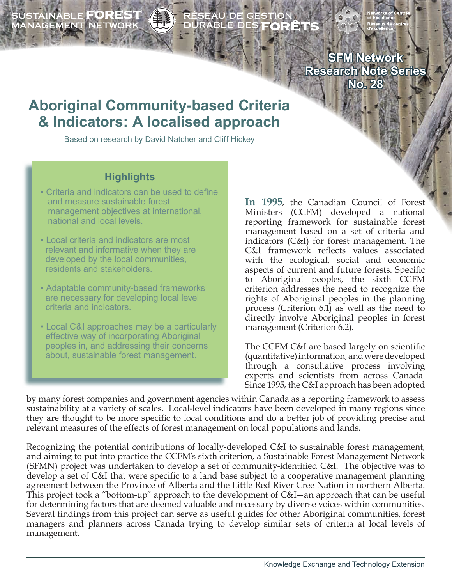SUSTAINABLE **FOREST**<br>MANAGEMENT NETWORK



**SFM Network**

**Research Note Series No. 28**

# **Aboriginal Community-based Criteria & Indicators: A localised approach**

Based on research by David Natcher and Cliff Hickey

#### **Highlights**

- Criteria and indicators can be used to define and measure sustainable forest management objectives at international, national and local levels.
- Local criteria and indicators are most relevant and informative when they are developed by the local communities, residents and stakeholders.
- Adaptable community-based frameworks are necessary for developing local level criteria and indicators.
- Local C&I approaches may be a particularly effective way of incorporating Aboriginal peoples in, and addressing their concerns about, sustainable forest management.

**In 1995**, the Canadian Council of Forest Ministers (CCFM) developed a national reporting framework for sustainable forest management based on a set of criteria and indicators (C&I) for forest management. The C&I framework reflects values associated with the ecological, social and economic aspects of current and future forests. Specific to Aboriginal peoples, the sixth CCFM criterion addresses the need to recognize the rights of Aboriginal peoples in the planning process (Criterion 6.1) as well as the need to directly involve Aboriginal peoples in forest management (Criterion 6.2).

The CCFM C&I are based largely on scientific (quantitative) information, and were developed through a consultative process involving experts and scientists from across Canada. Since 1995, the C&I approach has been adopted

by many forest companies and government agencies within Canada as a reporting framework to assess sustainability at a variety of scales. Local-level indicators have been developed in many regions since they are thought to be more specific to local conditions and do a better job of providing precise and relevant measures of the effects of forest management on local populations and lands.

Recognizing the potential contributions of locally-developed C&I to sustainable forest management, and aiming to put into practice the CCFM's sixth criterion, a Sustainable Forest Management Network (SFMN) project was undertaken to develop a set of community-identified C&I. The objective was to develop a set of C&I that were specific to a land base subject to a cooperative management planning agreement between the Province of Alberta and the Little Red River Cree Nation in northern Alberta. This project took a "bottom-up" approach to the development of C&I—an approach that can be useful for determining factors that are deemed valuable and necessary by diverse voices within communities. Several findings from this project can serve as useful guides for other Aboriginal communities, forest managers and planners across Canada trying to develop similar sets of criteria at local levels of management.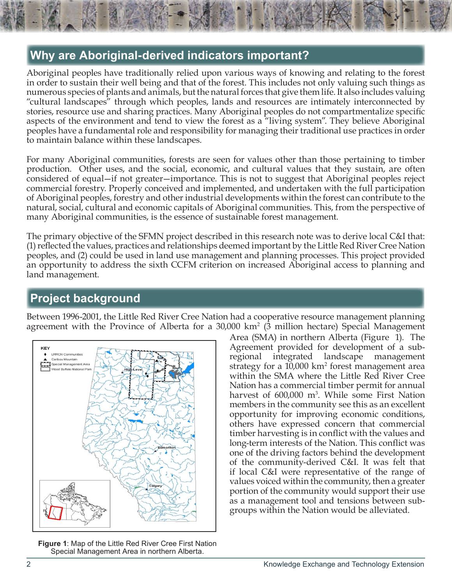## **Why are Aboriginal-derived indicators important?**

Aboriginal peoples have traditionally relied upon various ways of knowing and relating to the forest in order to sustain their well being and that of the forest. This includes not only valuing such things as numerous species of plants and animals, but the natural forces that give them life. It also includes valuing "cultural landscapes" through which peoples, lands and resources are intimately interconnected by stories, resource use and sharing practices. Many Aboriginal peoples do not compartmentalize specific aspects of the environment and tend to view the forest as a "living system". They believe Aboriginal peoples have a fundamental role and responsibility for managing their traditional use practices in order to maintain balance within these landscapes.

For many Aboriginal communities, forests are seen for values other than those pertaining to timber production. Other uses, and the social, economic, and cultural values that they sustain, are often considered of equal—if not greater—importance. This is not to suggest that Aboriginal peoples reject commercial forestry. Properly conceived and implemented, and undertaken with the full participation of Aboriginal peoples, forestry and other industrial developments within the forest can contribute to the natural, social, cultural and economic capitals of Aboriginal communities. This, from the perspective of many Aboriginal communities, is the essence of sustainable forest management.

The primary objective of the SFMN project described in this research note was to derive local C&I that: (1) reflected the values, practices and relationships deemed important by the Little Red River Cree Nation peoples, and (2) could be used in land use management and planning processes. This project provided an opportunity to address the sixth CCFM criterion on increased Aboriginal access to planning and land management.

## **Project background**

Between 1996-2001, the Little Red River Cree Nation had a cooperative resource management planning agreement with the Province of Alberta for a 30,000 km<sup>2</sup> (3 million hectare) Special Management



**Figure 1**: Map of the Little Red River Cree First Nation Special Management Area in northern Alberta.

Area (SMA) in northern Alberta (Figure 1). The Agreement provided for development of a subregional integrated landscape management strategy for a 10,000 km<sup>2</sup> forest management area within the SMA where the Little Red River Cree Nation has a commercial timber permit for annual harvest of 600,000 m<sup>3</sup>. While some First Nation members in the community see this as an excellent opportunity for improving economic conditions, others have expressed concern that commercial timber harvesting is in conflict with the values and long-term interests of the Nation. This conflict was one of the driving factors behind the development of the community-derived C&I. It was felt that if local C&I were representative of the range of values voiced within the community, then a greater portion of the community would support their use as a management tool and tensions between subgroups within the Nation would be alleviated.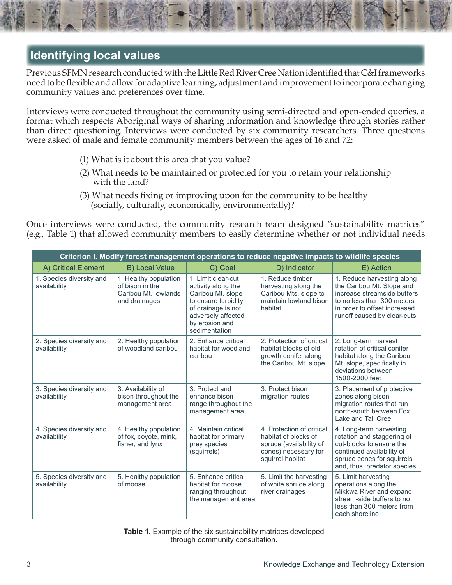## **Identifying local values**

Previous SFMN research conducted with the Little Red River Cree Nation identified that C&I frameworks need to be flexible and allow for adaptive learning, adjustment and improvement to incorporate changing community values and preferences over time.

Interviews were conducted throughout the community using semi-directed and open-ended queries, a format which respects Aboriginal ways of sharing information and knowledge through stories rather than direct questioning. Interviews were conducted by six community researchers. Three questions were asked of male and female community members between the ages of 16 and 72:

- (1) What is it about this area that you value?
- (2) What needs to be maintained or protected for you to retain your relationship with the land?
- (3) What needs fixing or improving upon for the community to be healthy (socially, culturally, economically, environmentally)?

Once interviews were conducted, the community research team designed "sustainability matrices" (e.g., Table 1) that allowed community members to easily determine whether or not individual needs

| Criterion I. Modify forest management operations to reduce negative impacts to wildlife species |                                                                                   |                                                                                                                                                                     |                                                                                                                          |                                                                                                                                                                                     |  |  |
|-------------------------------------------------------------------------------------------------|-----------------------------------------------------------------------------------|---------------------------------------------------------------------------------------------------------------------------------------------------------------------|--------------------------------------------------------------------------------------------------------------------------|-------------------------------------------------------------------------------------------------------------------------------------------------------------------------------------|--|--|
| A) Critical Element                                                                             | <b>B) Local Value</b>                                                             | C) Goal                                                                                                                                                             | D) Indicator                                                                                                             | E) Action                                                                                                                                                                           |  |  |
| 1. Species diversity and<br>availability                                                        | 1. Healthy population<br>of bison in the<br>Caribou Mt. Iowlands<br>and drainages | 1. Limit clear-cut<br>activity along the<br>Caribou Mt. slope<br>to ensure turbidity<br>of drainage is not<br>adversely affected<br>by erosion and<br>sedimentation | 1. Reduce timber<br>harvesting along the<br>Caribou Mts. slope to<br>maintain lowland bison<br>habitat                   | 1. Reduce harvesting along<br>the Caribou Mt. Slope and<br>increase streamside buffers<br>to no less than 300 meters<br>in order to offset increased<br>runoff caused by clear-cuts |  |  |
| 2. Species diversity and<br>availability                                                        | 2. Healthy population<br>of woodland caribou                                      | 2. Enhance critical<br>habitat for woodland<br>caribou                                                                                                              | 2. Protection of critical<br>habitat blocks of old<br>growth conifer along<br>the Caribou Mt. slope                      | 2. Long-term harvest<br>rotation of critical conifer<br>habitat along the Caribou<br>Mt. slope, specifically in<br>deviations between<br>1500-2000 feet                             |  |  |
| 3. Species diversity and<br>availability                                                        | 3. Availability of<br>bison throughout the<br>management area                     | 3. Protect and<br>enhance bison<br>range throughout the<br>management area                                                                                          | 3. Protect bison<br>migration routes                                                                                     | 3. Placement of protective<br>zones along bison<br>migration routes that run<br>north-south between Fox<br>Lake and Tall Cree                                                       |  |  |
| 4. Species diversity and<br>availability                                                        | 4. Healthy population<br>of fox, coyote, mink,<br>fisher, and lynx                | 4. Maintain critical<br>habitat for primary<br>prey species<br>(squirrels)                                                                                          | 4. Protection of critical<br>habitat of blocks of<br>spruce (availability of<br>cones) necessary for<br>squirrel habitat | 4. Long-term harvesting<br>rotation and staggering of<br>cut-blocks to ensure the<br>continued availability of<br>spruce cones for squirrels<br>and, thus, predator species         |  |  |
| 5. Species diversity and<br>availability                                                        | 5. Healthy population<br>of moose                                                 | 5. Enhance critical<br>habitat for moose<br>ranging throughout<br>the management area                                                                               | 5. Limit the harvesting<br>of white spruce along<br>river drainages                                                      | 5. Limit harvesting<br>operations along the<br>Mikkwa River and expand<br>stream-side buffers to no<br>less than 300 meters from<br>each shoreline                                  |  |  |

**Table 1.** Example of the six sustainability matrices developed through community consultation.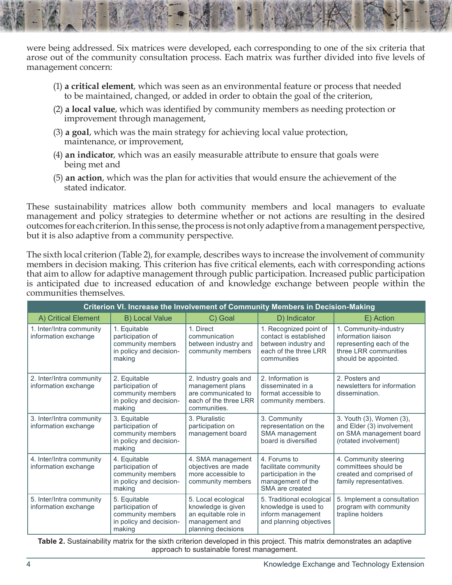were being addressed. Six matrices were developed, each corresponding to one of the six criteria that arose out of the community consultation process. Each matrix was further divided into five levels of management concern:

- (1) **a critical element**, which was seen as an environmental feature or process that needed to be maintained, changed, or added in order to obtain the goal of the criterion,
- (2) **a local value**, which was identified by community members as needing protection or improvement through management,
- (3) **a goal**, which was the main strategy for achieving local value protection, maintenance, or improvement,
- (4) **an indicator**, which was an easily measurable attribute to ensure that goals were being met and
- (5) **an action**, which was the plan for activities that would ensure the achievement of the stated indicator.

These sustainability matrices allow both community members and local managers to evaluate management and policy strategies to determine whether or not actions are resulting in the desired outcomes for each criterion. In this sense, the process is not only adaptive from a management perspective, but it is also adaptive from a community perspective.

The sixth local criterion (Table 2), for example, describes ways to increase the involvement of community members in decision making. This criterion has five critical elements, each with corresponding actions that aim to allow for adaptive management through public participation. Increased public participation is anticipated due to increased education of and knowledge exchange between people within the communities themselves.

| Criterion VI. Increase the Involvement of Community Members in Decision-Making |                                                                                            |                                                                                                           |                                                                                                                  |                                                                                                                           |  |  |  |
|--------------------------------------------------------------------------------|--------------------------------------------------------------------------------------------|-----------------------------------------------------------------------------------------------------------|------------------------------------------------------------------------------------------------------------------|---------------------------------------------------------------------------------------------------------------------------|--|--|--|
| A) Critical Element                                                            | <b>B) Local Value</b>                                                                      | C) Goal                                                                                                   | D) Indicator                                                                                                     | E) Action                                                                                                                 |  |  |  |
| 1. Inter/Intra community<br>information exchange                               | 1. Equitable<br>participation of<br>community members<br>in policy and decision-<br>making | 1. Direct<br>communication<br>between industry and<br>community members                                   | 1. Recognized point of<br>contact is established<br>between industry and<br>each of the three LRR<br>communities | 1. Community-industry<br>information liaison<br>representing each of the<br>three LRR communities<br>should be appointed. |  |  |  |
| 2. Inter/Intra community<br>information exchange                               | 2. Equitable<br>participation of<br>community members<br>in policy and decision-<br>making | 2. Industry goals and<br>management plans<br>are communicated to<br>each of the three LRR<br>communities. | 2. Information is<br>disseminated in a<br>format accessible to<br>community members.                             | 2. Posters and<br>newsletters for information<br>dissemination.                                                           |  |  |  |
| 3. Inter/Intra community<br>information exchange                               | 3. Equitable<br>participation of<br>community members<br>in policy and decision-<br>making | 3. Pluralistic<br>participation on<br>management board                                                    | 3. Community<br>representation on the<br>SMA management<br>board is diversified                                  | 3. Youth (3), Women (3),<br>and Elder (3) involvement<br>on SMA management board<br>(rotated involvement)                 |  |  |  |
| 4. Inter/Intra community<br>information exchange                               | 4. Equitable<br>participation of<br>community members<br>in policy and decision-<br>making | 4. SMA management<br>objectives are made<br>more accessible to<br>community members                       | 4. Forums to<br>facilitate community<br>participation in the<br>management of the<br>SMA are created             | 4. Community steering<br>committees should be<br>created and comprised of<br>family representatives.                      |  |  |  |
| 5. Inter/Intra community<br>information exchange                               | 5. Equitable<br>participation of<br>community members<br>in policy and decision-<br>making | 5. Local ecological<br>knowledge is given<br>an equitable role in<br>management and<br>planning decisions | 5. Traditional ecological<br>knowledge is used to<br>inform management<br>and planning objectives                | 5. Implement a consultation<br>program with community<br>trapline holders                                                 |  |  |  |

**Table 2.** Sustainability matrix for the sixth criterion developed in this project. This matrix demonstrates an adaptive approach to sustainable forest management.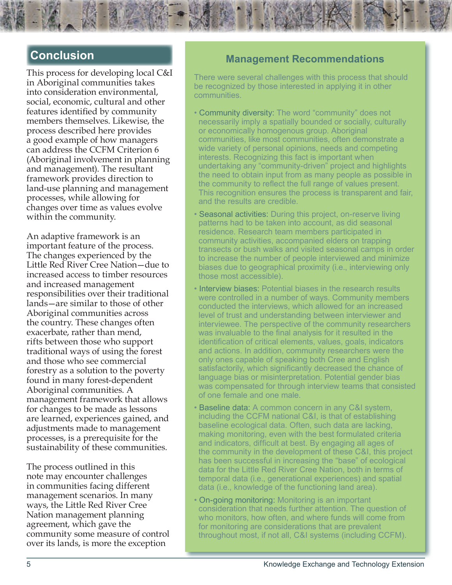### **Conclusion**

This process for developing local C&I in Aboriginal communities takes into consideration environmental, social, economic, cultural and other features identified by community members themselves. Likewise, the process described here provides a good example of how managers can address the CCFM Criterion 6 (Aboriginal involvement in planning and management). The resultant framework provides direction to land-use planning and management processes, while allowing for changes over time as values evolve within the community.

An adaptive framework is an important feature of the process. The changes experienced by the Little Red River Cree Nation—due to increased access to timber resources and increased management responsibilities over their traditional lands—are similar to those of other Aboriginal communities across the country. These changes often exacerbate, rather than mend, rifts between those who support traditional ways of using the forest and those who see commercial forestry as a solution to the poverty found in many forest-dependent Aboriginal communities. A management framework that allows for changes to be made as lessons are learned, experiences gained, and adjustments made to management processes, is a prerequisite for the sustainability of these communities.

The process outlined in this note may encounter challenges in communities facing different management scenarios. In many ways, the Little Red River Cree Nation management planning agreement, which gave the community some measure of control over its lands, is more the exception

#### **Management Recommendations**

There were several challenges with this process that should be recognized by those interested in applying it in other communities.

- Community diversity: The word "community" does not necessarily imply a spatially bounded or socially, culturally or economically homogenous group. Aboriginal communities, like most communities, often demonstrate a wide variety of personal opinions, needs and competing interests. Recognizing this fact is important when undertaking any "community-driven" project and highlights the need to obtain input from as many people as possible in the community to reflect the full range of values present. This recognition ensures the process is transparent and fair, and the results are credible.
- Seasonal activities: During this project, on-reserve living patterns had to be taken into account, as did seasonal residence. Research team members participated in community activities, accompanied elders on trapping transects or bush walks and visited seasonal camps in order to increase the number of people interviewed and minimize biases due to geographical proximity (i.e., interviewing only those most accessible).
- Interview biases: Potential biases in the research results were controlled in a number of ways. Community members conducted the interviews, which allowed for an increased level of trust and understanding between interviewer and interviewee. The perspective of the community researchers was invaluable to the final analysis for it resulted in the identification of critical elements, values, goals, indicators and actions. In addition, community researchers were the only ones capable of speaking both Cree and English satisfactorily, which significantly decreased the chance of language bias or misinterpretation. Potential gender bias was compensated for through interview teams that consisted of one female and one male.
- Baseline data: A common concern in any C&I system, including the CCFM national C&I, is that of establishing baseline ecological data. Often, such data are lacking, making monitoring, even with the best formulated criteria and indicators, difficult at best. By engaging all ages of the community in the development of these C&I, this project has been successful in increasing the "base" of ecological data for the Little Red River Cree Nation, both in terms of temporal data (i.e., generational experiences) and spatial data (i.e., knowledge of the functioning land area).
- On-going monitoring: Monitoring is an important consideration that needs further attention. The question of who monitors, how often, and where funds will come from for monitoring are considerations that are prevalent throughout most, if not all, C&I systems (including CCFM).